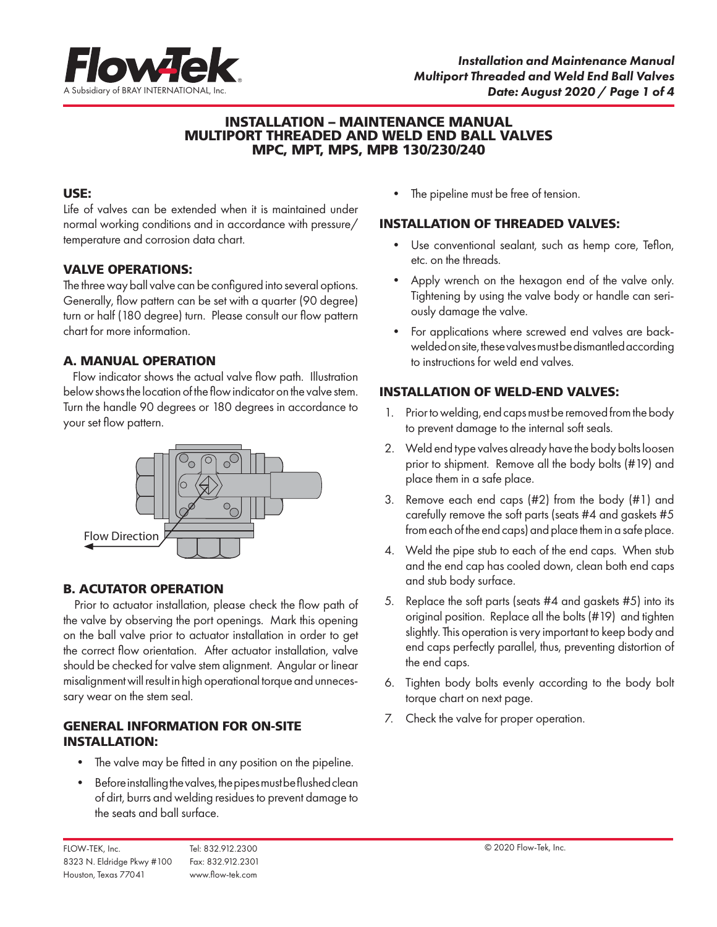

# INSTALLATION – MAINTENANCE MANUAL MULTIPORT THREADED AND WELD END BALL VALVES MPC, MPT, MPS, MPB 130/230/240

# USE:

Life of valves can be extended when it is maintained under normal working conditions and in accordance with pressure/ temperature and corrosion data chart.

# VALVE OPERATIONS:

The three way ball valve can be configured into several options. Generally, flow pattern can be set with a quarter (90 degree) turn or half (180 degree) turn. Please consult our flow pattern chart for more information.

# A. MANUAL OPERATION

 Flow indicator shows the actual valve flow path. Illustration below shows the location of the flow indicator on the valve stem. Turn the handle 90 degrees or 180 degrees in accordance to your set flow pattern.



# B. ACUTATOR OPERATION

 Prior to actuator installation, please check the flow path of the valve by observing the port openings. Mark this opening on the ball valve prior to actuator installation in order to get the correct flow orientation. After actuator installation, valve should be checked for valve stem alignment. Angular or linear misalignment will result in high operational torque and unnecessary wear on the stem seal.

# GENERAL INFORMATION FOR ON-SITE INSTALLATION:

- The valve may be fitted in any position on the pipeline.
- Before installing the valves, the pipes must be flushed clean of dirt, burrs and welding residues to prevent damage to the seats and ball surface.

• The pipeline must be free of tension.

#### INSTALLATION OF THREADED VALVES:

- Use conventional sealant, such as hemp core, Teflon, etc. on the threads.
- Apply wrench on the hexagon end of the valve only. Tightening by using the valve body or handle can seriously damage the valve.
- For applications where screwed end valves are backwelded on site, these valves must be dismantled according to instructions for weld end valves.

# INSTALLATION OF WELD-END VALVES:

- 1. Prior to welding, end caps must be removed from the body to prevent damage to the internal soft seals.
- 2. Weld end type valves already have the body bolts loosen prior to shipment. Remove all the body bolts (#19) and place them in a safe place.
- 3. Remove each end caps (#2) from the body (#1) and carefully remove the soft parts (seats #4 and gaskets #5 from each of the end caps) and place them in a safe place.
- 4. Weld the pipe stub to each of the end caps. When stub and the end cap has cooled down, clean both end caps and stub body surface.
- 5. Replace the soft parts (seats #4 and gaskets #5) into its original position. Replace all the bolts (#19) and tighten slightly. This operation is very important to keep body and end caps perfectly parallel, thus, preventing distortion of the end caps.
- 6. Tighten body bolts evenly according to the body bolt torque chart on next page.
- 7. Check the valve for proper operation.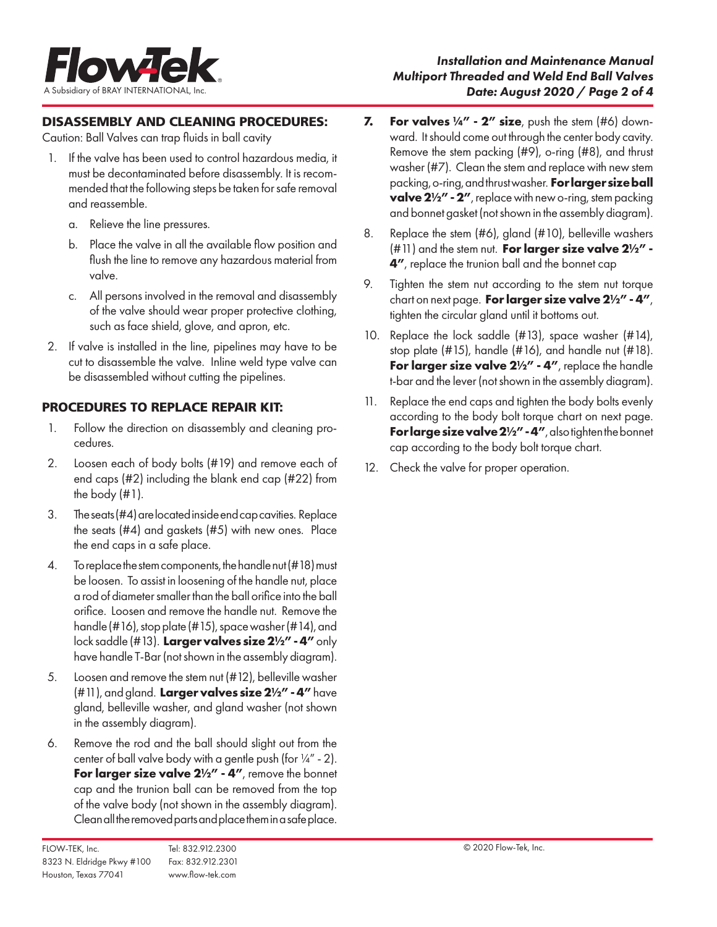

# DISASSEMBLY AND CLEANING PROCEDURES:

Caution: Ball Valves can trap fluids in ball cavity

- 1. If the valve has been used to control hazardous media, it must be decontaminated before disassembly. It is recommended that the following steps be taken for safe removal and reassemble.
	- a. Relieve the line pressures.
	- b. Place the valve in all the available flow position and flush the line to remove any hazardous material from valve.
	- c. All persons involved in the removal and disassembly of the valve should wear proper protective clothing, such as face shield, glove, and apron, etc.
- 2. If valve is installed in the line, pipelines may have to be cut to disassemble the valve. Inline weld type valve can be disassembled without cutting the pipelines.

# PROCEDURES TO REPLACE REPAIR KIT:

- 1. Follow the direction on disassembly and cleaning procedures.
- 2. Loosen each of body bolts (#19) and remove each of end caps (#2) including the blank end cap (#22) from the body (#1).
- 3. The seats (#4) are located inside end cap cavities. Replace the seats (#4) and gaskets (#5) with new ones. Place the end caps in a safe place.
- 4. To replace the stem components, the handle nut (#18) must be loosen. To assist in loosening of the handle nut, place a rod of diameter smaller than the ball orifice into the ball orifice. Loosen and remove the handle nut. Remove the handle (#16), stop plate (#15), space washer (#14), and lock saddle (#13). **Larger valves size 2½" - 4"** only have handle T-Bar (not shown in the assembly diagram).
- 5. Loosen and remove the stem nut (#12), belleville washer (#11), and gland. **Larger valves size 2½" - 4"** have gland, belleville washer, and gland washer (not shown in the assembly diagram).
- 6. Remove the rod and the ball should slight out from the center of ball valve body with a gentle push (for  $\frac{1}{4}$ " - 2). For larger size valve  $2\frac{1}{2}$ " - 4", remove the bonnet cap and the trunion ball can be removed from the top of the valve body (not shown in the assembly diagram). Clean all the removed parts and place them in a safe place.
- FLOW-TEK, Inc. Tel: 832.912.2300 © 2020 Flow-Tek, Inc. 8323 N. Eldridge Pkwy #100 Fax: 832.912.2301 Houston, Texas 77041 www.flow-tek.com
- **7. For valves ¼" 2" size**, push the stem (#6) downward. It should come out through the center body cavity. Remove the stem packing (#9), o-ring (#8), and thrust washer (#7). Clean the stem and replace with new stem packing, o-ring, and thrust washer. **For larger size ball valve 2½" - 2"**, replace with new o-ring, stem packing and bonnet gasket (not shown in the assembly diagram).
- 8. Replace the stem (#6), gland (#10), belleville washers (#11) and the stem nut. **For larger size valve 2½" - 4"**, replace the trunion ball and the bonnet cap
- 9. Tighten the stem nut according to the stem nut torque chart on next page. **For larger size valve 2½" - 4"**, tighten the circular gland until it bottoms out.
- 10. Replace the lock saddle (#13), space washer (#14), stop plate (#15), handle (#16), and handle nut (#18). **For larger size valve 2½" - 4"**, replace the handle t-bar and the lever (not shown in the assembly diagram).
- 11. Replace the end caps and tighten the body bolts evenly according to the body bolt torque chart on next page. For large size valve  $2\frac{1}{2}$ " - 4", also tighten the bonnet cap according to the body bolt torque chart.
- 12. Check the valve for proper operation.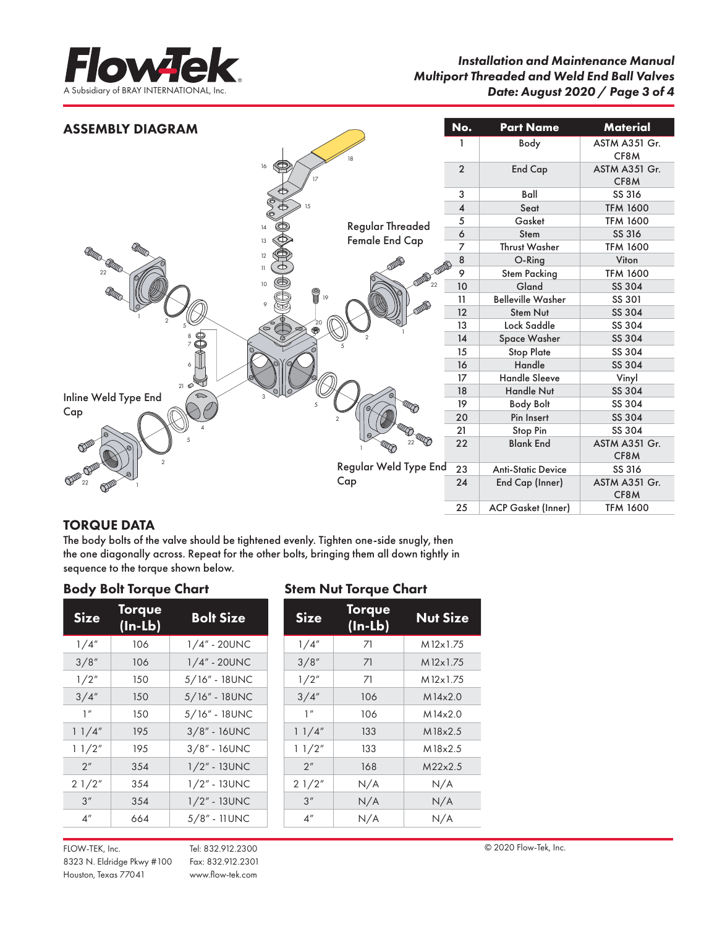

| <b>ASSEMBLY DIAGRAM</b>                    |                       | No.                     | <b>Part Name</b>          | <b>Material</b>       |
|--------------------------------------------|-----------------------|-------------------------|---------------------------|-----------------------|
|                                            | 18                    |                         | Body                      | ASTM A351 Gr.<br>CF8M |
| 16<br>(CD)                                 |                       | $\overline{2}$          | <b>End Cap</b>            | ASTM A351 Gr.<br>CF8M |
|                                            |                       | 3                       | Ball                      | SS 316                |
|                                            |                       | $\overline{\mathbf{4}}$ | Seat                      | <b>TFM 1600</b>       |
|                                            | Regular Threaded      | 5                       | Gasket                    | <b>TFM 1600</b>       |
| 14                                         |                       | 6                       | Stem                      | SS 316                |
| 13                                         | Female End Cap        | 7                       | Thrust Washer             | <b>TFM 1600</b>       |
| GEORGIA CONTRO<br>12                       |                       | 8                       | O-Ring                    | Viton                 |
| 11<br>22                                   | ODD                   | 9                       | <b>Stem Packing</b>       | <b>TFM 1600</b>       |
| $10$                                       | 22                    | 10                      | Gland                     | SS 304                |
| <b>RECO</b><br><b>ADD</b><br>19<br>$\circ$ |                       | 11                      | <b>Belleville Washer</b>  | SS 301                |
|                                            |                       | 12                      | Stem Nut                  | SS 304                |
| $\overset{20}{\bigcirc}$                   |                       | 13                      | Lock Saddle               | SS 304                |
| 8                                          |                       | 14                      | Space Washer              | SS 304                |
| ⇮                                          |                       | 15                      | <b>Stop Plate</b>         | SS 304                |
| 6                                          |                       | 16                      | Handle                    | SS 304                |
|                                            |                       | 17                      | <b>Handle Sleeve</b>      | Vinyl                 |
| $21 \circ 1$                               |                       | 18                      | <b>Handle Nut</b>         | SS 304                |
| Inline Weld Type End                       |                       | 19                      | <b>Body Bolt</b>          | SS 304                |
| Cap                                        |                       | 20                      | Pin Insert                | SS 304                |
|                                            |                       | 21                      | Stop Pin                  | SS 304                |
| OPP<br>$\mathfrak{D}$                      | 22                    | 22                      | <b>Blank End</b>          | ASTM A351 Gr.<br>CF8M |
|                                            | Regular Weld Type End | 23                      | <b>Anti-Static Device</b> | SS 316                |
| $\mathbb{CP}^{\mathbb{CP}}_{22}$           | Cap                   | 24                      | End Cap (Inner)           | ASTM A351 Gr.<br>CF8M |
|                                            |                       | 25                      | <b>ACP Gasket (Inner)</b> | <b>TFM 1600</b>       |

# TORQUE DATA

The body bolts of the valve should be tightened evenly. Tighten one-side snugly, then the one diagonally across. Repeat for the other bolts, bringing them all down tightly in sequence to the torque shown below.

# Body Bolt Torque Chart Stem Nut Torque Chart

| <b>Size</b>     | Torque<br>(In-Lb) | <b>Bolt Size</b> | <b>Size</b>     | Torque<br>$(ln-lb)$ | <b>Nut Sizo</b> |
|-----------------|-------------------|------------------|-----------------|---------------------|-----------------|
| 1/4''           | 106               | $1/4" - 20$ UNC  | 1/4''           | 71                  | M12x1.75        |
| 3/8''           | 106               | 1/4" - 20UNC     | 3/8''           | 71                  | M12x1.75        |
| 1/2"            | 150               | 5/16" - 18UNC    | 1/2"            | 71                  | M12x1.75        |
| 3/4''           | 150               | 5/16" - 18UNC    | 3/4''           | 106                 | M14x2.0         |
| 1''             | 150               | $5/16"$ - 18UNC  | 1''             | 106                 | M14x2.0         |
| 11/4"           | 195               | $3/8" - 16$ UNC  | 11/4"           | 133                 | M18x2.5         |
| 11/2"           | 195               | $3/8"$ - 16UNC   | 11/2"           | 133                 | M18x2.5         |
| 2 <sup>n</sup>  | 354               | $1/2" - 13$ UNC  | 2 <sup>n</sup>  | 168                 | M22x2.5         |
| 21/2"           | 354               | $1/2" - 13$ UNC  | 21/2"           | N/A                 | N/A             |
| 3''             | 354               | 1/2" - 13UNC     | 3''             | N/A                 | N/A             |
| 4 <sup>''</sup> | 664               | 5/8" - 11 UNC    | 4 <sup>''</sup> | N/A                 | N/A             |

| <b>Size</b>     | ivi que<br>$(ln-lb)$ | <b>Nut Size</b> |
|-----------------|----------------------|-----------------|
| 1/4''           | 71                   | M12x1.75        |
| 3/8''           | 71                   | M12x1.75        |
| 1/2''           | 71                   | M12x1.75        |
| 3/4''           | 106                  | M14x2.0         |
| 1''             | 106                  | M14x2.0         |
| 11/4"           | 133                  | M18x2.5         |
| 11/2"           | 133                  | M18x2.5         |
| 2 <sup>n</sup>  | 168                  | M22x2.5         |
| 21/2"           | N/A                  | N/A             |
| 3''             | N/A                  | N/A             |
| 4 <sup>''</sup> | N/A                  | N/A             |

FLOW-TEK, Inc. Tel: 832.912.2300 © 2020 Flow-Tek, Inc. 8323 N. Eldridge Pkwy #100 Fax: 832.912.2301 Houston, Texas 77041 www.flow-tek.com